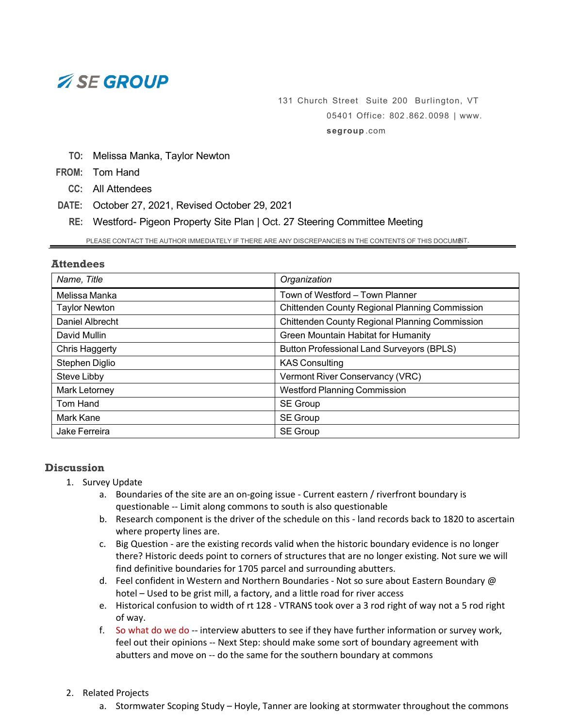# *ASE GROUP*

# 131 Church Street Suite 200 Burlington, VT 05401 Office: 802 . 862. 0098 | [www.](http://www.segroup.com/) **[segroup](http://www.segroup.com/)** .com

**TO:** Melissa Manka, Taylor Newton

**FROM:** Tom Hand

**CC:** All Attendees

**DATE:** October 27, 2021, Revised October 29, 2021

**RE:** Westford- Pigeon Property Site Plan | Oct. 27 Steering Committee Meeting

PLEASE CONTACT THE AUTHOR IMMEDIATELY IF THERE ARE ANY DISCREPANCIES IN THE CONTENTS OF THIS DOCUMINT.

### **Attendees**

| Name, Title          | Organization                                          |
|----------------------|-------------------------------------------------------|
| Melissa Manka        | Town of Westford - Town Planner                       |
| <b>Taylor Newton</b> | <b>Chittenden County Regional Planning Commission</b> |
| Daniel Albrecht      | <b>Chittenden County Regional Planning Commission</b> |
| David Mullin         | Green Mountain Habitat for Humanity                   |
| Chris Haggerty       | <b>Button Professional Land Surveyors (BPLS)</b>      |
| Stephen Diglio       | <b>KAS Consulting</b>                                 |
| Steve Libby          | Vermont River Conservancy (VRC)                       |
| Mark Letorney        | <b>Westford Planning Commission</b>                   |
| Tom Hand             | SE Group                                              |
| Mark Kane            | SE Group                                              |
| Jake Ferreira        | <b>SE Group</b>                                       |

# **Discussion**

- 1. Survey Update
	- a. Boundaries of the site are an on-going issue Current eastern / riverfront boundary is questionable -- Limit along commons to south is also questionable
	- b. Research component is the driver of the schedule on this land records back to 1820 to ascertain where property lines are.
	- c. Big Question are the existing records valid when the historic boundary evidence is no longer there? Historic deeds point to corners of structures that are no longer existing. Not sure we will find definitive boundaries for 1705 parcel and surrounding abutters.
	- d. Feel confident in Western and Northern Boundaries Not so sure about Eastern Boundary @ hotel – Used to be grist mill, a factory, and a little road for river access
	- e. Historical confusion to width of rt 128 VTRANS took over a 3 rod right of way not a 5 rod right of way.
	- f. So what do we do -- interview abutters to see if they have further information or survey work, feel out their opinions -- Next Step: should make some sort of boundary agreement with abutters and move on -- do the same for the southern boundary at commons

### 2. Related Projects

a. Stormwater Scoping Study – Hoyle, Tanner are looking at stormwater throughout the commons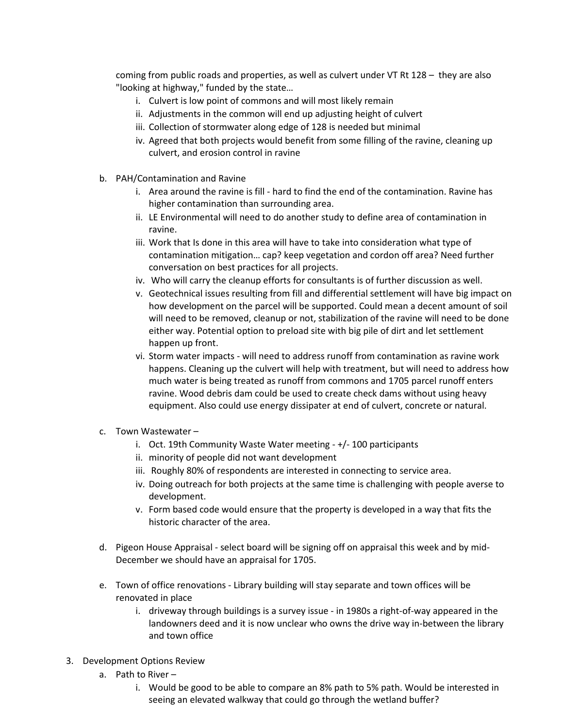coming from public roads and properties, as well as culvert under VT Rt 128 – they are also "looking at highway," funded by the state…

- i. Culvert is low point of commons and will most likely remain
- ii. Adjustments in the common will end up adjusting height of culvert
- iii. Collection of stormwater along edge of 128 is needed but minimal
- iv. Agreed that both projects would benefit from some filling of the ravine, cleaning up culvert, and erosion control in ravine
- b. PAH/Contamination and Ravine
	- i. Area around the ravine is fill hard to find the end of the contamination. Ravine has higher contamination than surrounding area.
	- ii. LE Environmental will need to do another study to define area of contamination in ravine.
	- iii. Work that Is done in this area will have to take into consideration what type of contamination mitigation… cap? keep vegetation and cordon off area? Need further conversation on best practices for all projects.
	- iv. Who will carry the cleanup efforts for consultants is of further discussion as well.
	- v. Geotechnical issues resulting from fill and differential settlement will have big impact on how development on the parcel will be supported. Could mean a decent amount of soil will need to be removed, cleanup or not, stabilization of the ravine will need to be done either way. Potential option to preload site with big pile of dirt and let settlement happen up front.
	- vi. Storm water impacts will need to address runoff from contamination as ravine work happens. Cleaning up the culvert will help with treatment, but will need to address how much water is being treated as runoff from commons and 1705 parcel runoff enters ravine. Wood debris dam could be used to create check dams without using heavy equipment. Also could use energy dissipater at end of culvert, concrete or natural.
- c. Town Wastewater
	- i. Oct. 19th Community Waste Water meeting +/- 100 participants
	- ii. minority of people did not want development
	- iii. Roughly 80% of respondents are interested in connecting to service area.
	- iv. Doing outreach for both projects at the same time is challenging with people averse to development.
	- v. Form based code would ensure that the property is developed in a way that fits the historic character of the area.
- d. Pigeon House Appraisal select board will be signing off on appraisal this week and by mid-December we should have an appraisal for 1705.
- e. Town of office renovations Library building will stay separate and town offices will be renovated in place
	- i. driveway through buildings is a survey issue in 1980s a right-of-way appeared in the landowners deed and it is now unclear who owns the drive way in-between the library and town office
- 3. Development Options Review
	- a. Path to River
		- i. Would be good to be able to compare an 8% path to 5% path. Would be interested in seeing an elevated walkway that could go through the wetland buffer?